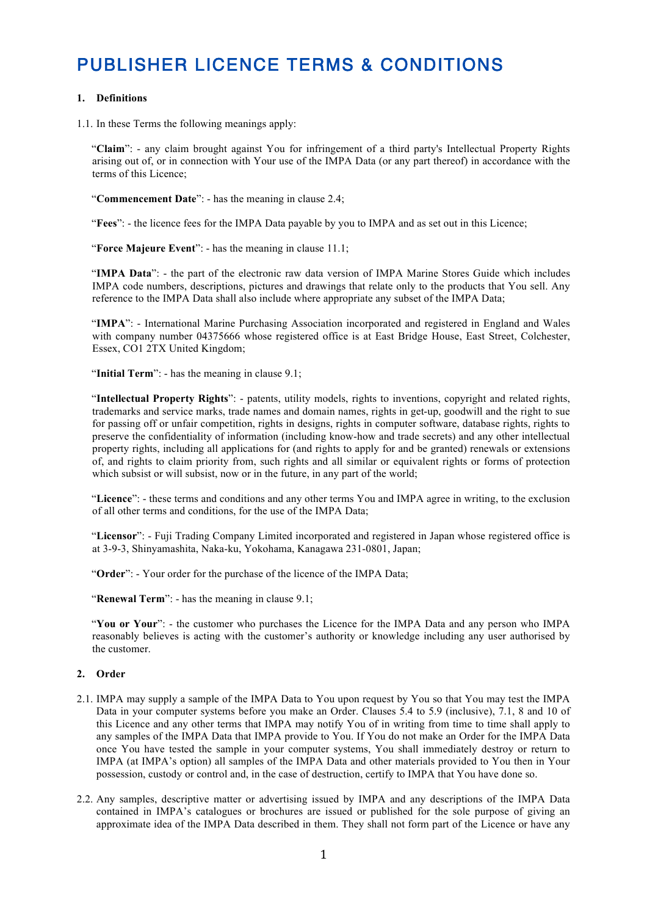# PUBLISHER LICENCE TERMS & CONDITIONS

## **1. Definitions**

1.1. In these Terms the following meanings apply:

"**Claim**": - any claim brought against You for infringement of a third party's Intellectual Property Rights arising out of, or in connection with Your use of the IMPA Data (or any part thereof) in accordance with the terms of this Licence;

"**Commencement Date**": - has the meaning in clause 2.4;

"**Fees**": - the licence fees for the IMPA Data payable by you to IMPA and as set out in this Licence;

"**Force Majeure Event**": - has the meaning in clause 11.1;

"IMPA Data": - the part of the electronic raw data version of IMPA Marine Stores Guide which includes IMPA code numbers, descriptions, pictures and drawings that relate only to the products that You sell. Any reference to the IMPA Data shall also include where appropriate any subset of the IMPA Data;

"**IMPA**": - International Marine Purchasing Association incorporated and registered in England and Wales with company number 04375666 whose registered office is at East Bridge House, East Street, Colchester, Essex, CO1 2TX United Kingdom;

"**Initial Term**": - has the meaning in clause 9.1;

"**Intellectual Property Rights**": - patents, utility models, rights to inventions, copyright and related rights, trademarks and service marks, trade names and domain names, rights in get-up, goodwill and the right to sue for passing off or unfair competition, rights in designs, rights in computer software, database rights, rights to preserve the confidentiality of information (including know-how and trade secrets) and any other intellectual property rights, including all applications for (and rights to apply for and be granted) renewals or extensions of, and rights to claim priority from, such rights and all similar or equivalent rights or forms of protection which subsist or will subsist, now or in the future, in any part of the world;

"**Licence**": - these terms and conditions and any other terms You and IMPA agree in writing, to the exclusion of all other terms and conditions, for the use of the IMPA Data;

"**Licensor**": - Fuji Trading Company Limited incorporated and registered in Japan whose registered office is at 3-9-3, Shinyamashita, Naka-ku, Yokohama, Kanagawa 231-0801, Japan;

"**Order**": - Your order for the purchase of the licence of the IMPA Data;

"**Renewal Term**": - has the meaning in clause 9.1;

"**You or Your**": - the customer who purchases the Licence for the IMPA Data and any person who IMPA reasonably believes is acting with the customer's authority or knowledge including any user authorised by the customer.

#### **2. Order**

- 2.1. IMPA may supply a sample of the IMPA Data to You upon request by You so that You may test the IMPA Data in your computer systems before you make an Order. Clauses 5.4 to 5.9 (inclusive), 7.1, 8 and 10 of this Licence and any other terms that IMPA may notify You of in writing from time to time shall apply to any samples of the IMPA Data that IMPA provide to You. If You do not make an Order for the IMPA Data once You have tested the sample in your computer systems, You shall immediately destroy or return to IMPA (at IMPA's option) all samples of the IMPA Data and other materials provided to You then in Your possession, custody or control and, in the case of destruction, certify to IMPA that You have done so.
- 2.2. Any samples, descriptive matter or advertising issued by IMPA and any descriptions of the IMPA Data contained in IMPA's catalogues or brochures are issued or published for the sole purpose of giving an approximate idea of the IMPA Data described in them. They shall not form part of the Licence or have any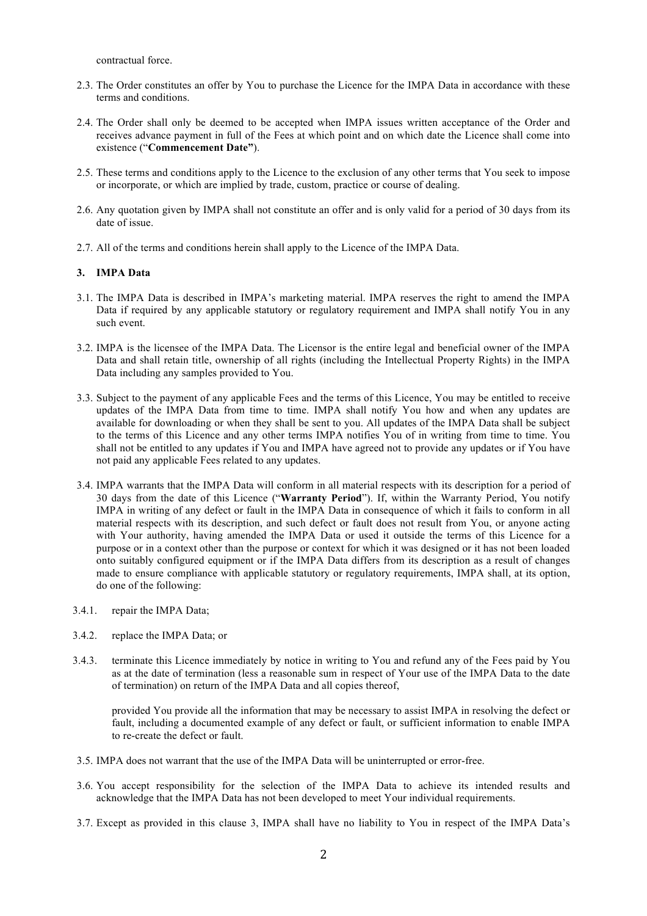contractual force.

- 2.3. The Order constitutes an offer by You to purchase the Licence for the IMPA Data in accordance with these terms and conditions.
- 2.4. The Order shall only be deemed to be accepted when IMPA issues written acceptance of the Order and receives advance payment in full of the Fees at which point and on which date the Licence shall come into existence ("**Commencement Date"**).
- 2.5. These terms and conditions apply to the Licence to the exclusion of any other terms that You seek to impose or incorporate, or which are implied by trade, custom, practice or course of dealing.
- 2.6. Any quotation given by IMPA shall not constitute an offer and is only valid for a period of 30 days from its date of issue.
- 2.7. All of the terms and conditions herein shall apply to the Licence of the IMPA Data.

## **3. IMPA Data**

- 3.1. The IMPA Data is described in IMPA's marketing material. IMPA reserves the right to amend the IMPA Data if required by any applicable statutory or regulatory requirement and IMPA shall notify You in any such event.
- 3.2. IMPA is the licensee of the IMPA Data. The Licensor is the entire legal and beneficial owner of the IMPA Data and shall retain title, ownership of all rights (including the Intellectual Property Rights) in the IMPA Data including any samples provided to You.
- 3.3. Subject to the payment of any applicable Fees and the terms of this Licence, You may be entitled to receive updates of the IMPA Data from time to time. IMPA shall notify You how and when any updates are available for downloading or when they shall be sent to you. All updates of the IMPA Data shall be subject to the terms of this Licence and any other terms IMPA notifies You of in writing from time to time. You shall not be entitled to any updates if You and IMPA have agreed not to provide any updates or if You have not paid any applicable Fees related to any updates.
- 3.4. IMPA warrants that the IMPA Data will conform in all material respects with its description for a period of 30 days from the date of this Licence ("**Warranty Period**"). If, within the Warranty Period, You notify IMPA in writing of any defect or fault in the IMPA Data in consequence of which it fails to conform in all material respects with its description, and such defect or fault does not result from You, or anyone acting with Your authority, having amended the IMPA Data or used it outside the terms of this Licence for a purpose or in a context other than the purpose or context for which it was designed or it has not been loaded onto suitably configured equipment or if the IMPA Data differs from its description as a result of changes made to ensure compliance with applicable statutory or regulatory requirements, IMPA shall, at its option, do one of the following:
- 3.4.1. repair the IMPA Data;
- 3.4.2. replace the IMPA Data; or
- 3.4.3. terminate this Licence immediately by notice in writing to You and refund any of the Fees paid by You as at the date of termination (less a reasonable sum in respect of Your use of the IMPA Data to the date of termination) on return of the IMPA Data and all copies thereof,

provided You provide all the information that may be necessary to assist IMPA in resolving the defect or fault, including a documented example of any defect or fault, or sufficient information to enable IMPA to re-create the defect or fault.

- 3.5. IMPA does not warrant that the use of the IMPA Data will be uninterrupted or error-free.
- 3.6. You accept responsibility for the selection of the IMPA Data to achieve its intended results and acknowledge that the IMPA Data has not been developed to meet Your individual requirements.
- 3.7. Except as provided in this clause 3, IMPA shall have no liability to You in respect of the IMPA Data's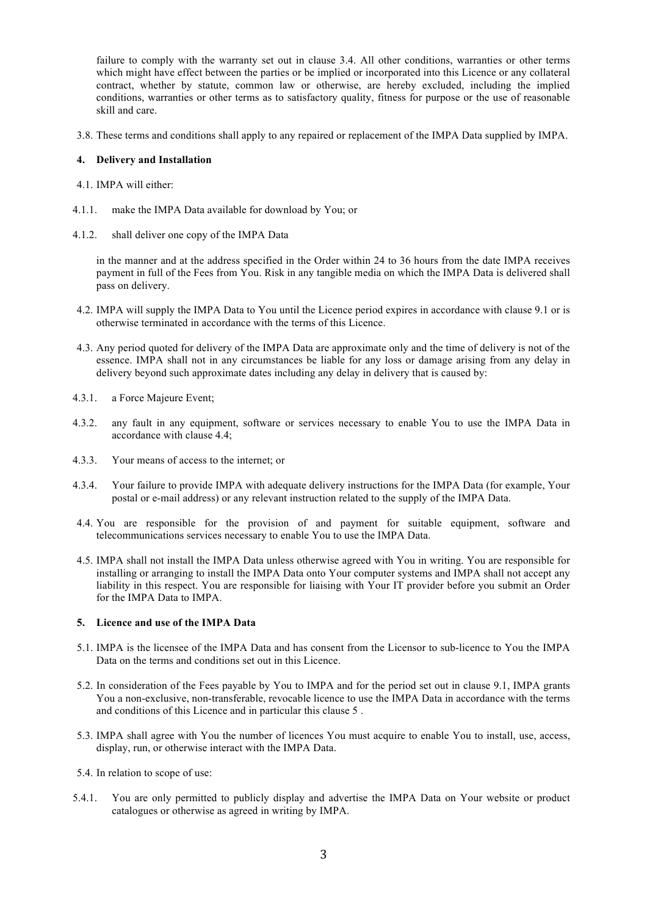failure to comply with the warranty set out in clause 3.4. All other conditions, warranties or other terms which might have effect between the parties or be implied or incorporated into this Licence or any collateral contract, whether by statute, common law or otherwise, are hereby excluded, including the implied conditions, warranties or other terms as to satisfactory quality, fitness for purpose or the use of reasonable skill and care.

3.8. These terms and conditions shall apply to any repaired or replacement of the IMPA Data supplied by IMPA.

## **4. Delivery and Installation**

- 4.1. IMPA will either:
- 4.1.1. make the IMPA Data available for download by You; or
- 4.1.2. shall deliver one copy of the IMPA Data

in the manner and at the address specified in the Order within 24 to 36 hours from the date IMPA receives payment in full of the Fees from You. Risk in any tangible media on which the IMPA Data is delivered shall pass on delivery.

- 4.2. IMPA will supply the IMPA Data to You until the Licence period expires in accordance with clause 9.1 or is otherwise terminated in accordance with the terms of this Licence.
- 4.3. Any period quoted for delivery of the IMPA Data are approximate only and the time of delivery is not of the essence. IMPA shall not in any circumstances be liable for any loss or damage arising from any delay in delivery beyond such approximate dates including any delay in delivery that is caused by:
- 4.3.1. a Force Majeure Event;
- 4.3.2. any fault in any equipment, software or services necessary to enable You to use the IMPA Data in accordance with clause 4.4;
- 4.3.3. Your means of access to the internet; or
- 4.3.4. Your failure to provide IMPA with adequate delivery instructions for the IMPA Data (for example, Your postal or e-mail address) or any relevant instruction related to the supply of the IMPA Data.
- 4.4. You are responsible for the provision of and payment for suitable equipment, software and telecommunications services necessary to enable You to use the IMPA Data.
- 4.5. IMPA shall not install the IMPA Data unless otherwise agreed with You in writing. You are responsible for installing or arranging to install the IMPA Data onto Your computer systems and IMPA shall not accept any liability in this respect. You are responsible for liaising with Your IT provider before you submit an Order for the IMPA Data to IMPA.

## **5. Licence and use of the IMPA Data**

- 5.1. IMPA is the licensee of the IMPA Data and has consent from the Licensor to sub-licence to You the IMPA Data on the terms and conditions set out in this Licence.
- 5.2. In consideration of the Fees payable by You to IMPA and for the period set out in clause 9.1, IMPA grants You a non-exclusive, non-transferable, revocable licence to use the IMPA Data in accordance with the terms and conditions of this Licence and in particular this clause 5 .
- 5.3. IMPA shall agree with You the number of licences You must acquire to enable You to install, use, access, display, run, or otherwise interact with the IMPA Data.
- 5.4. In relation to scope of use:
- 5.4.1. You are only permitted to publicly display and advertise the IMPA Data on Your website or product catalogues or otherwise as agreed in writing by IMPA.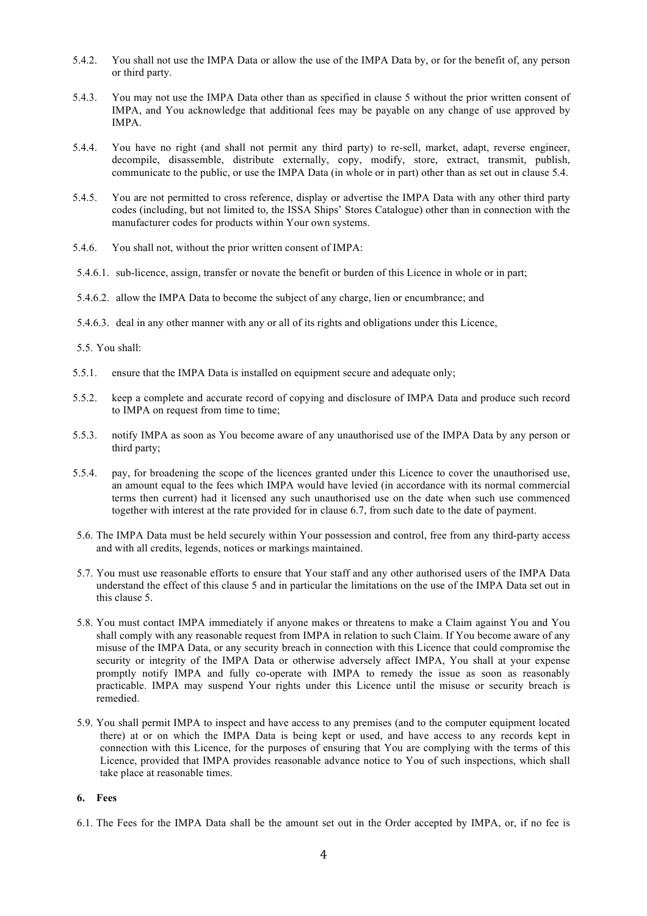- 5.4.2. You shall not use the IMPA Data or allow the use of the IMPA Data by, or for the benefit of, any person or third party.
- 5.4.3. You may not use the IMPA Data other than as specified in clause 5 without the prior written consent of IMPA, and You acknowledge that additional fees may be payable on any change of use approved by IMPA.
- 5.4.4. You have no right (and shall not permit any third party) to re-sell, market, adapt, reverse engineer, decompile, disassemble, distribute externally, copy, modify, store, extract, transmit, publish, communicate to the public, or use the IMPA Data (in whole or in part) other than as set out in clause 5.4.
- 5.4.5. You are not permitted to cross reference, display or advertise the IMPA Data with any other third party codes (including, but not limited to, the ISSA Ships' Stores Catalogue) other than in connection with the manufacturer codes for products within Your own systems.
- 5.4.6. You shall not, without the prior written consent of IMPA:
- 5.4.6.1. sub-licence, assign, transfer or novate the benefit or burden of this Licence in whole or in part;
- 5.4.6.2. allow the IMPA Data to become the subject of any charge, lien or encumbrance; and
- 5.4.6.3. deal in any other manner with any or all of its rights and obligations under this Licence,
- 5.5. You shall:
- 5.5.1. ensure that the IMPA Data is installed on equipment secure and adequate only;
- 5.5.2. keep a complete and accurate record of copying and disclosure of IMPA Data and produce such record to IMPA on request from time to time;
- 5.5.3. notify IMPA as soon as You become aware of any unauthorised use of the IMPA Data by any person or third party;
- 5.5.4. pay, for broadening the scope of the licences granted under this Licence to cover the unauthorised use, an amount equal to the fees which IMPA would have levied (in accordance with its normal commercial terms then current) had it licensed any such unauthorised use on the date when such use commenced together with interest at the rate provided for in clause 6.7, from such date to the date of payment.
- 5.6. The IMPA Data must be held securely within Your possession and control, free from any third-party access and with all credits, legends, notices or markings maintained.
- 5.7. You must use reasonable efforts to ensure that Your staff and any other authorised users of the IMPA Data understand the effect of this clause 5 and in particular the limitations on the use of the IMPA Data set out in this clause 5.
- 5.8. You must contact IMPA immediately if anyone makes or threatens to make a Claim against You and You shall comply with any reasonable request from IMPA in relation to such Claim. If You become aware of any misuse of the IMPA Data, or any security breach in connection with this Licence that could compromise the security or integrity of the IMPA Data or otherwise adversely affect IMPA, You shall at your expense promptly notify IMPA and fully co-operate with IMPA to remedy the issue as soon as reasonably practicable. IMPA may suspend Your rights under this Licence until the misuse or security breach is remedied.
- 5.9. You shall permit IMPA to inspect and have access to any premises (and to the computer equipment located there) at or on which the IMPA Data is being kept or used, and have access to any records kept in connection with this Licence, for the purposes of ensuring that You are complying with the terms of this Licence, provided that IMPA provides reasonable advance notice to You of such inspections, which shall take place at reasonable times.

## **6. Fees**

<sup>6.1.</sup> The Fees for the IMPA Data shall be the amount set out in the Order accepted by IMPA, or, if no fee is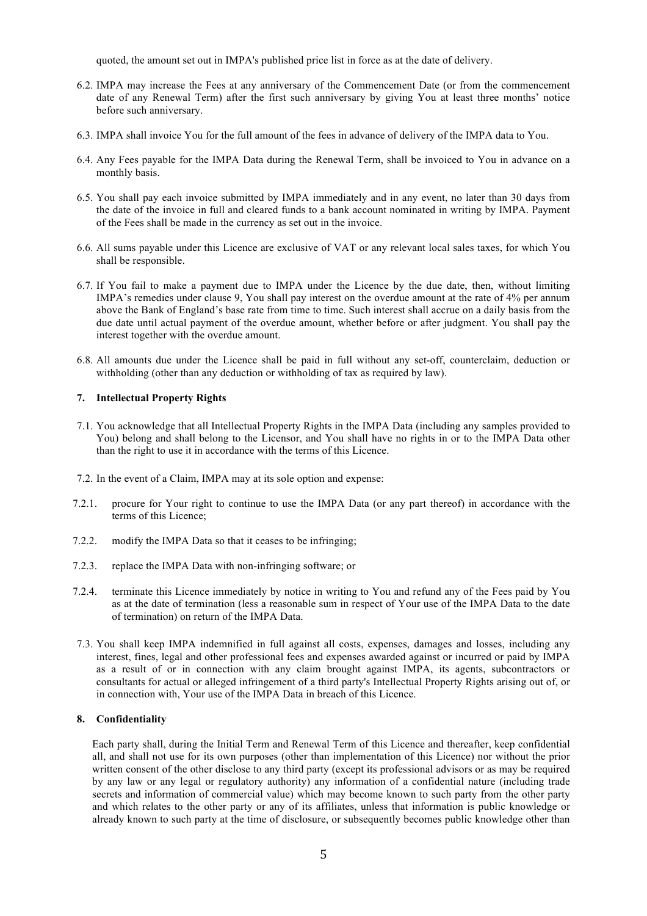quoted, the amount set out in IMPA's published price list in force as at the date of delivery.

- 6.2. IMPA may increase the Fees at any anniversary of the Commencement Date (or from the commencement date of any Renewal Term) after the first such anniversary by giving You at least three months' notice before such anniversary.
- 6.3. IMPA shall invoice You for the full amount of the fees in advance of delivery of the IMPA data to You.
- 6.4. Any Fees payable for the IMPA Data during the Renewal Term, shall be invoiced to You in advance on a monthly basis.
- 6.5. You shall pay each invoice submitted by IMPA immediately and in any event, no later than 30 days from the date of the invoice in full and cleared funds to a bank account nominated in writing by IMPA. Payment of the Fees shall be made in the currency as set out in the invoice.
- 6.6. All sums payable under this Licence are exclusive of VAT or any relevant local sales taxes, for which You shall be responsible.
- 6.7. If You fail to make a payment due to IMPA under the Licence by the due date, then, without limiting IMPA's remedies under clause 9, You shall pay interest on the overdue amount at the rate of 4% per annum above the Bank of England's base rate from time to time. Such interest shall accrue on a daily basis from the due date until actual payment of the overdue amount, whether before or after judgment. You shall pay the interest together with the overdue amount.
- 6.8. All amounts due under the Licence shall be paid in full without any set-off, counterclaim, deduction or withholding (other than any deduction or withholding of tax as required by law).

## **7. Intellectual Property Rights**

- 7.1. You acknowledge that all Intellectual Property Rights in the IMPA Data (including any samples provided to You) belong and shall belong to the Licensor, and You shall have no rights in or to the IMPA Data other than the right to use it in accordance with the terms of this Licence.
- 7.2. In the event of a Claim, IMPA may at its sole option and expense:
- 7.2.1. procure for Your right to continue to use the IMPA Data (or any part thereof) in accordance with the terms of this Licence;
- 7.2.2. modify the IMPA Data so that it ceases to be infringing;
- 7.2.3. replace the IMPA Data with non-infringing software; or
- 7.2.4. terminate this Licence immediately by notice in writing to You and refund any of the Fees paid by You as at the date of termination (less a reasonable sum in respect of Your use of the IMPA Data to the date of termination) on return of the IMPA Data.
- 7.3. You shall keep IMPA indemnified in full against all costs, expenses, damages and losses, including any interest, fines, legal and other professional fees and expenses awarded against or incurred or paid by IMPA as a result of or in connection with any claim brought against IMPA, its agents, subcontractors or consultants for actual or alleged infringement of a third party's Intellectual Property Rights arising out of, or in connection with, Your use of the IMPA Data in breach of this Licence.

## **8. Confidentiality**

Each party shall, during the Initial Term and Renewal Term of this Licence and thereafter, keep confidential all, and shall not use for its own purposes (other than implementation of this Licence) nor without the prior written consent of the other disclose to any third party (except its professional advisors or as may be required by any law or any legal or regulatory authority) any information of a confidential nature (including trade secrets and information of commercial value) which may become known to such party from the other party and which relates to the other party or any of its affiliates, unless that information is public knowledge or already known to such party at the time of disclosure, or subsequently becomes public knowledge other than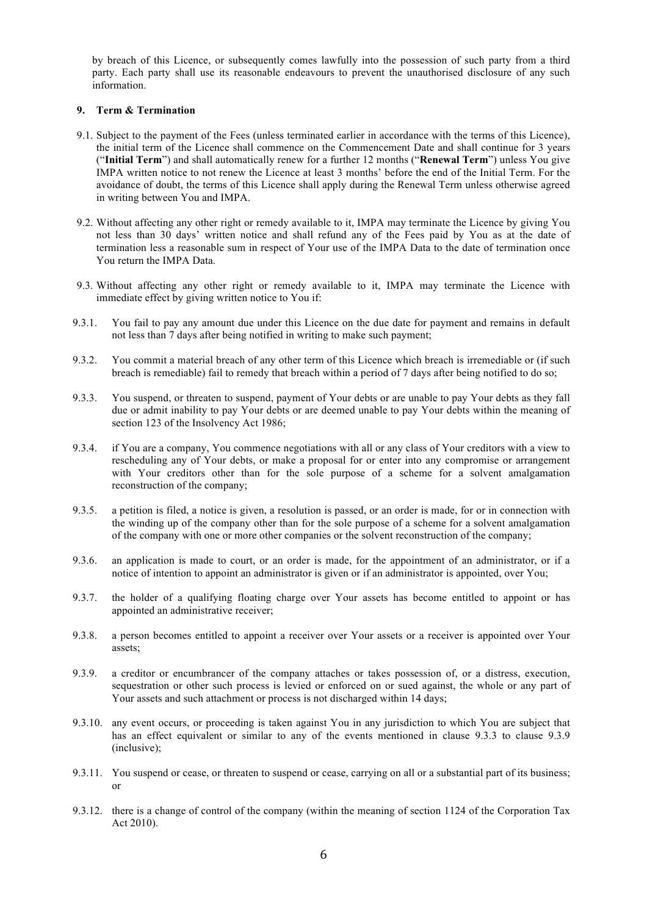by breach of this Licence, or subsequently comes lawfully into the possession of such party from a third party. Each party shall use its reasonable endeavours to prevent the unauthorised disclosure of any such information.

#### **9. Term & Termination**

- 9.1. Subject to the payment of the Fees (unless terminated earlier in accordance with the terms of this Licence), the initial term of the Licence shall commence on the Commencement Date and shall continue for 3 years ("**Initial Term**") and shall automatically renew for a further 12 months ("**Renewal Term**") unless You give IMPA written notice to not renew the Licence at least 3 months' before the end of the Initial Term. For the avoidance of doubt, the terms of this Licence shall apply during the Renewal Term unless otherwise agreed in writing between You and IMPA.
- 9.2. Without affecting any other right or remedy available to it, IMPA may terminate the Licence by giving You not less than 30 days' written notice and shall refund any of the Fees paid by You as at the date of termination less a reasonable sum in respect of Your use of the IMPA Data to the date of termination once You return the IMPA Data.
- 9.3. Without affecting any other right or remedy available to it, IMPA may terminate the Licence with immediate effect by giving written notice to You if:
- 9.3.1. You fail to pay any amount due under this Licence on the due date for payment and remains in default not less than 7 days after being notified in writing to make such payment;
- 9.3.2. You commit a material breach of any other term of this Licence which breach is irremediable or (if such breach is remediable) fail to remedy that breach within a period of 7 days after being notified to do so;
- 9.3.3. You suspend, or threaten to suspend, payment of Your debts or are unable to pay Your debts as they fall due or admit inability to pay Your debts or are deemed unable to pay Your debts within the meaning of section 123 of the Insolvency Act 1986;
- 9.3.4. if You are a company, You commence negotiations with all or any class of Your creditors with a view to rescheduling any of Your debts, or make a proposal for or enter into any compromise or arrangement with Your creditors other than for the sole purpose of a scheme for a solvent amalgamation reconstruction of the company;
- 9.3.5. a petition is filed, a notice is given, a resolution is passed, or an order is made, for or in connection with the winding up of the company other than for the sole purpose of a scheme for a solvent amalgamation of the company with one or more other companies or the solvent reconstruction of the company;
- 9.3.6. an application is made to court, or an order is made, for the appointment of an administrator, or if a notice of intention to appoint an administrator is given or if an administrator is appointed, over You;
- 9.3.7. the holder of a qualifying floating charge over Your assets has become entitled to appoint or has appointed an administrative receiver;
- 9.3.8. a person becomes entitled to appoint a receiver over Your assets or a receiver is appointed over Your assets;
- 9.3.9. a creditor or encumbrancer of the company attaches or takes possession of, or a distress, execution, sequestration or other such process is levied or enforced on or sued against, the whole or any part of Your assets and such attachment or process is not discharged within 14 days:
- 9.3.10. any event occurs, or proceeding is taken against You in any jurisdiction to which You are subject that has an effect equivalent or similar to any of the events mentioned in clause 9.3.3 to clause 9.3.9 (inclusive);
- 9.3.11. You suspend or cease, or threaten to suspend or cease, carrying on all or a substantial part of its business; or
- 9.3.12. there is a change of control of the company (within the meaning of section 1124 of the Corporation Tax Act 2010).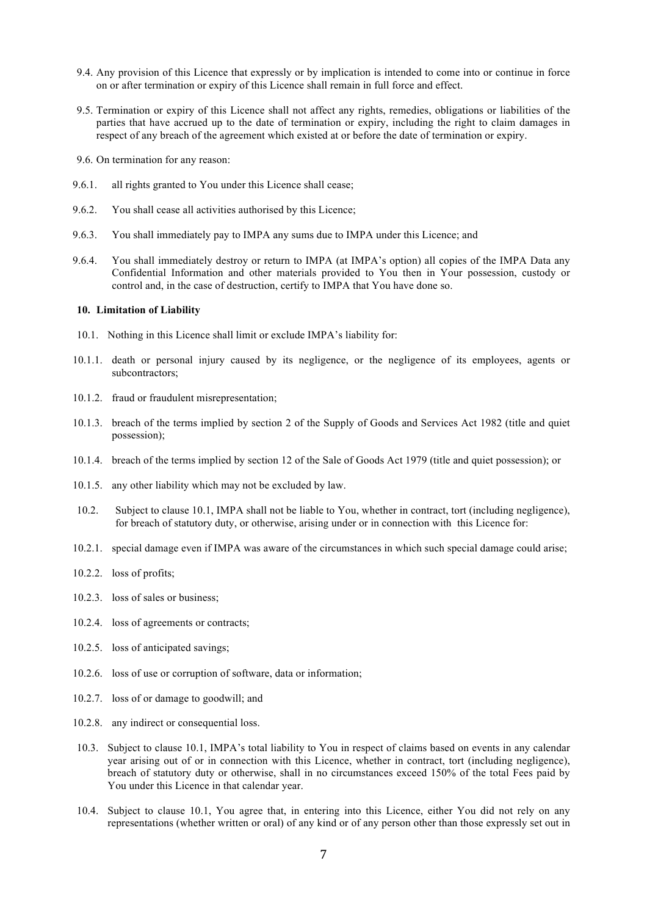- 9.4. Any provision of this Licence that expressly or by implication is intended to come into or continue in force on or after termination or expiry of this Licence shall remain in full force and effect.
- 9.5. Termination or expiry of this Licence shall not affect any rights, remedies, obligations or liabilities of the parties that have accrued up to the date of termination or expiry, including the right to claim damages in respect of any breach of the agreement which existed at or before the date of termination or expiry.
- 9.6. On termination for any reason:
- 9.6.1. all rights granted to You under this Licence shall cease;
- 9.6.2. You shall cease all activities authorised by this Licence;
- 9.6.3. You shall immediately pay to IMPA any sums due to IMPA under this Licence; and
- 9.6.4. You shall immediately destroy or return to IMPA (at IMPA's option) all copies of the IMPA Data any Confidential Information and other materials provided to You then in Your possession, custody or control and, in the case of destruction, certify to IMPA that You have done so.

#### **10. Limitation of Liability**

- 10.1. Nothing in this Licence shall limit or exclude IMPA's liability for:
- 10.1.1. death or personal injury caused by its negligence, or the negligence of its employees, agents or subcontractors;
- 10.1.2. fraud or fraudulent misrepresentation;
- 10.1.3. breach of the terms implied by section 2 of the Supply of Goods and Services Act 1982 (title and quiet possession);
- 10.1.4. breach of the terms implied by section 12 of the Sale of Goods Act 1979 (title and quiet possession); or
- 10.1.5. any other liability which may not be excluded by law.
- 10.2. Subject to clause 10.1, IMPA shall not be liable to You, whether in contract, tort (including negligence), for breach of statutory duty, or otherwise, arising under or in connection with this Licence for:
- 10.2.1. special damage even if IMPA was aware of the circumstances in which such special damage could arise;
- 10.2.2. loss of profits;
- 10.2.3. loss of sales or business;
- 10.2.4. loss of agreements or contracts;
- 10.2.5. loss of anticipated savings;
- 10.2.6. loss of use or corruption of software, data or information;
- 10.2.7. loss of or damage to goodwill; and
- 10.2.8. any indirect or consequential loss.
- 10.3. Subject to clause 10.1, IMPA's total liability to You in respect of claims based on events in any calendar year arising out of or in connection with this Licence, whether in contract, tort (including negligence), breach of statutory duty or otherwise, shall in no circumstances exceed 150% of the total Fees paid by You under this Licence in that calendar year.
- 10.4. Subject to clause 10.1, You agree that, in entering into this Licence, either You did not rely on any representations (whether written or oral) of any kind or of any person other than those expressly set out in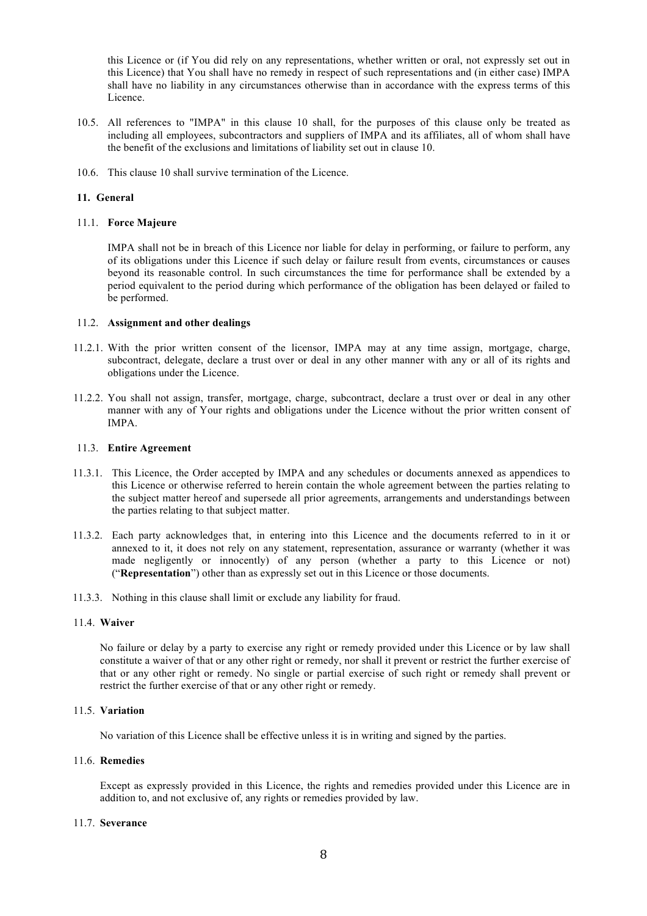this Licence or (if You did rely on any representations, whether written or oral, not expressly set out in this Licence) that You shall have no remedy in respect of such representations and (in either case) IMPA shall have no liability in any circumstances otherwise than in accordance with the express terms of this Licence.

- 10.5. All references to "IMPA" in this clause 10 shall, for the purposes of this clause only be treated as including all employees, subcontractors and suppliers of IMPA and its affiliates, all of whom shall have the benefit of the exclusions and limitations of liability set out in clause 10.
- 10.6. This clause 10 shall survive termination of the Licence.

## **11. General**

## 11.1. **Force Majeure**

IMPA shall not be in breach of this Licence nor liable for delay in performing, or failure to perform, any of its obligations under this Licence if such delay or failure result from events, circumstances or causes beyond its reasonable control. In such circumstances the time for performance shall be extended by a period equivalent to the period during which performance of the obligation has been delayed or failed to be performed.

#### 11.2. **Assignment and other dealings**

- 11.2.1. With the prior written consent of the licensor, IMPA may at any time assign, mortgage, charge, subcontract, delegate, declare a trust over or deal in any other manner with any or all of its rights and obligations under the Licence.
- 11.2.2. You shall not assign, transfer, mortgage, charge, subcontract, declare a trust over or deal in any other manner with any of Your rights and obligations under the Licence without the prior written consent of IMPA.

## 11.3. **Entire Agreement**

- 11.3.1. This Licence, the Order accepted by IMPA and any schedules or documents annexed as appendices to this Licence or otherwise referred to herein contain the whole agreement between the parties relating to the subject matter hereof and supersede all prior agreements, arrangements and understandings between the parties relating to that subject matter.
- 11.3.2. Each party acknowledges that, in entering into this Licence and the documents referred to in it or annexed to it, it does not rely on any statement, representation, assurance or warranty (whether it was made negligently or innocently) of any person (whether a party to this Licence or not) ("**Representation**") other than as expressly set out in this Licence or those documents.
- 11.3.3. Nothing in this clause shall limit or exclude any liability for fraud.

#### 11.4. **Waiver**

No failure or delay by a party to exercise any right or remedy provided under this Licence or by law shall constitute a waiver of that or any other right or remedy, nor shall it prevent or restrict the further exercise of that or any other right or remedy. No single or partial exercise of such right or remedy shall prevent or restrict the further exercise of that or any other right or remedy.

## 11.5. **Variation**

No variation of this Licence shall be effective unless it is in writing and signed by the parties.

#### 11.6. **Remedies**

Except as expressly provided in this Licence, the rights and remedies provided under this Licence are in addition to, and not exclusive of, any rights or remedies provided by law.

## 11.7. **Severance**